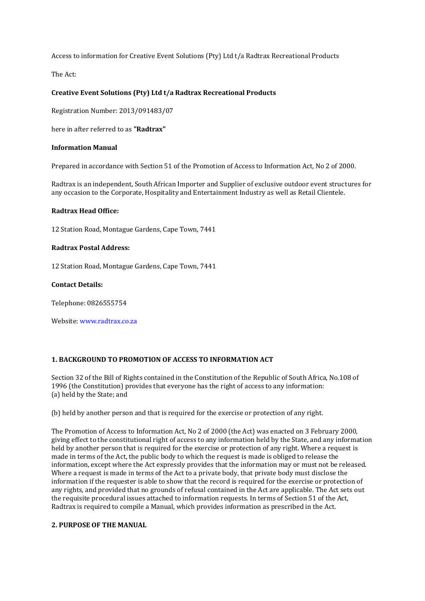Access to information for Creative Event Solutions (Pty) Ltd t/a Radtrax Recreational Products

The Act:

# **Creative Event Solutions (Pty) Ltd t/a Radtrax Recreational Products**

Registration Number: 2013/091483/07

here in after referred to as **"Radtrax"** 

### **Information Manual**

Prepared in accordance with Section 51 of the Promotion of Access to Information Act, No 2 of 2000.

Radtrax is an independent, South African Importer and Supplier of exclusive outdoor event structures for any occasion to the Corporate, Hospitality and Entertainment Industry as well as Retail Clientele.

### **Radtrax Head Office:**

12 Station Road, Montague Gardens, Cape Town, 7441

### **Radtrax Postal Address:**

12 Station Road, Montague Gardens, Cape Town, 7441

### **Contact Details:**

Telephone: 0826555754

Website: www.radtrax.co.za

### **1. BACKGROUND TO PROMOTION OF ACCESS TO INFORMATION ACT**

Section 32 of the Bill of Rights contained in the Constitution of the Republic of South Africa, No.108 of 1996 (the Constitution) provides that everyone has the right of access to any information: (a) held by the State; and

### (b) held by another person and that is required for the exercise or protection of any right.

The Promotion of Access to Information Act, No 2 of 2000 (the Act) was enacted on 3 February 2000, giving effect to the constitutional right of access to any information held by the State, and any information held by another person that is required for the exercise or protection of any right. Where a request is made in terms of the Act, the public body to which the request is made is obliged to release the information, except where the Act expressly provides that the information may or must not be released. Where a request is made in terms of the Act to a private body, that private body must disclose the information if the requester is able to show that the record is required for the exercise or protection of any rights, and provided that no grounds of refusal contained in the Act are applicable. The Act sets out the requisite procedural issues attached to information requests. In terms of Section 51 of the Act, Radtrax is required to compile a Manual, which provides information as prescribed in the Act.

### **2. PURPOSE OF THE MANUAL**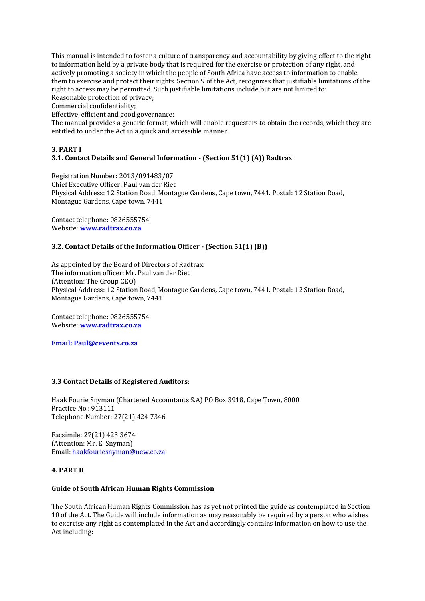This manual is intended to foster a culture of transparency and accountability by giving effect to the right to information held by a private body that is required for the exercise or protection of any right, and actively promoting a society in which the people of South Africa have access to information to enable them to exercise and protect their rights. Section 9 of the Act, recognizes that justifiable limitations of the right to access may be permitted. Such justifiable limitations include but are not limited to: Reasonable protection of privacy;

Commercial confidentiality;

Effective, efficient and good governance;

The manual provides a generic format, which will enable requesters to obtain the records, which they are entitled to under the Act in a quick and accessible manner.

### **3. PART I**

# **3.1. Contact Details and General Information - (Section 51(1) (A)) Radtrax**

Registration Number: 2013/091483/07 Chief Executive Officer: Paul van der Riet Physical Address: 12 Station Road, Montague Gardens, Cape town, 7441. Postal: 12 Station Road, Montague Gardens, Cape town, 7441

Contact telephone: 0826555754 Website: **www.radtrax.co.za** 

### **3.2. Contact Details of the Information Officer - (Section 51(1) (B))**

As appointed by the Board of Directors of Radtrax: The information officer: Mr. Paul van der Riet (Attention: The Group CEO) Physical Address: 12 Station Road, Montague Gardens, Cape town, 7441. Postal: 12 Station Road, Montague Gardens, Cape town, 7441

Contact telephone: 0826555754 Website: **www.radtrax.co.za** 

**Email: Paul@cevents.co.za**

### **3.3 Contact Details of Registered Auditors:**

Haak Fourie Snyman (Chartered Accountants S.A) PO Box 3918, Cape Town, 8000 Practice No.: 913111 Telephone Number: 27(21) 424 7346

Facsimile: 27(21) 423 3674 (Attention: Mr. E. Snyman) Email: haakfouriesnyman@new.co.za

### **4. PART II**

# **Guide of South African Human Rights Commission**

The South African Human Rights Commission has as yet not printed the guide as contemplated in Section 10 of the Act. The Guide will include information as may reasonably be required by a person who wishes to exercise any right as contemplated in the Act and accordingly contains information on how to use the Act including: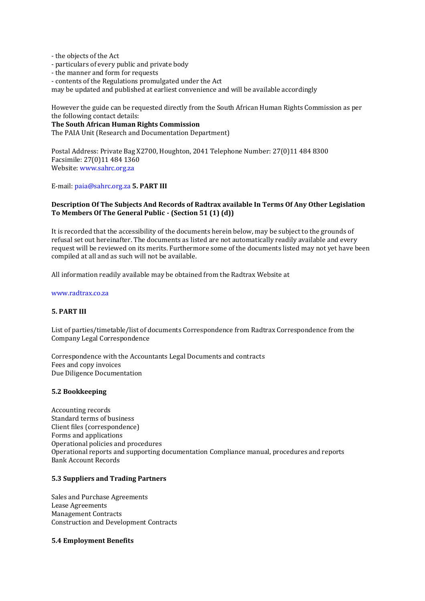- the objects of the Act

- particulars of every public and private body
- the manner and form for requests
- contents of the Regulations promulgated under the Act

may be updated and published at earliest convenience and will be available accordingly

However the guide can be requested directly from the South African Human Rights Commission as per the following contact details:

### **The South African Human Rights Commission**

The PAIA Unit (Research and Documentation Department)

Postal Address: Private Bag X2700, Houghton, 2041 Telephone Number: 27(0)11 484 8300 Facsimile: 27(0)11 484 1360 Website: www.sahrc.org.za

E-mail: paia@sahrc.org.za **5. PART III** 

# **Description Of The Subjects And Records of Radtrax available In Terms Of Any Other Legislation To Members Of The General Public - (Section 51 (1) (d))**

It is recorded that the accessibility of the documents herein below, may be subject to the grounds of refusal set out hereinafter. The documents as listed are not automatically readily available and every request will be reviewed on its merits. Furthermore some of the documents listed may not yet have been compiled at all and as such will not be available.

All information readily available may be obtained from the Radtrax Website at

#### www.radtrax.co.za

### **5. PART III**

List of parties/timetable/list of documents Correspondence from Radtrax Correspondence from the Company Legal Correspondence

Correspondence with the Accountants Legal Documents and contracts Fees and copy invoices Due Diligence Documentation

#### **5.2 Bookkeeping**

Accounting records Standard terms of business Client files (correspondence) Forms and applications Operational policies and procedures Operational reports and supporting documentation Compliance manual, procedures and reports Bank Account Records

### **5.3 Suppliers and Trading Partners**

Sales and Purchase Agreements Lease Agreements Management Contracts Construction and Development Contracts

#### **5.4 Employment Benefits**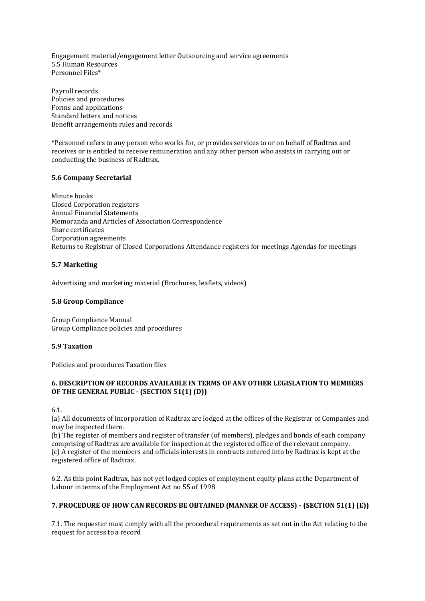Engagement material/engagement letter Outsourcing and service agreements 5.5 Human Resources Personnel Files\*

Payroll records Policies and procedures Forms and applications Standard letters and notices Benefit arrangements rules and records

\*Personnel refers to any person who works for, or provides services to or on behalf of Radtrax and receives or is entitled to receive remuneration and any other person who assists in carrying out or conducting the business of Radtrax.

# **5.6 Company Secretarial**

Minute books Closed Corporation registers Annual Financial Statements Memoranda and Articles of Association Correspondence Share certificates Corporation agreements Returns to Registrar of Closed Corporations Attendance registers for meetings Agendas for meetings

# **5.7 Marketing**

Advertising and marketing material (Brochures, leaflets, videos)

### **5.8 Group Compliance**

Group Compliance Manual Group Compliance policies and procedures

### **5.9 Taxation**

Policies and procedures Taxation files

# **6. DESCRIPTION OF RECORDS AVAILABLE IN TERMS OF ANY OTHER LEGISLATION TO MEMBERS OF THE GENERAL PUBLIC - (SECTION 51(1) (D))**

6.1.

(a) All documents of incorporation of Radtrax are lodged at the offices of the Registrar of Companies and may be inspected there.

(b) The register of members and register of transfer (of members), pledges and bonds of each company comprising of Radtrax are available for inspection at the registered office of the relevant company. (c) A register of the members and officials interests in contracts entered into by Radtrax is kept at the registered office of Radtrax.

6.2. As this point Radtrax, has not yet lodged copies of employment equity plans at the Department of Labour in terms of the Employment Act no 55 of 1998

# **7. PROCEDURE OF HOW CAN RECORDS BE OBTAINED (MANNER OF ACCESS) - (SECTION 51(1) (E))**

7.1. The requester must comply with all the procedural requirements as set out in the Act relating to the request for access to a record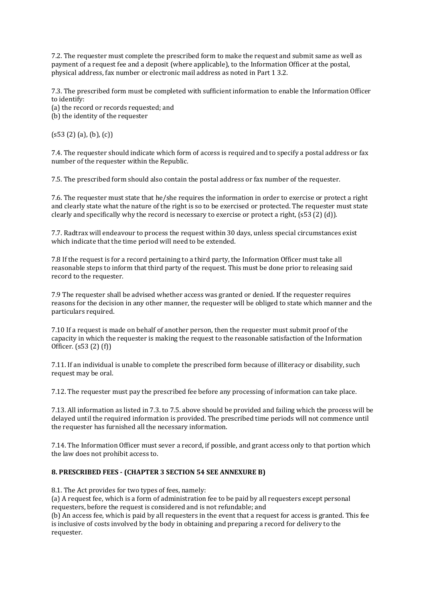7.2. The requester must complete the prescribed form to make the request and submit same as well as payment of a request fee and a deposit (where applicable), to the Information Officer at the postal, physical address, fax number or electronic mail address as noted in Part 1 3.2.

7.3. The prescribed form must be completed with sufficient information to enable the Information Officer to identify:

(a) the record or records requested; and

(b) the identity of the requester

 $(s53 (2) (a), (b), (c))$ 

7.4. The requester should indicate which form of access is required and to specify a postal address or fax number of the requester within the Republic.

7.5. The prescribed form should also contain the postal address or fax number of the requester.

7.6. The requester must state that he/she requires the information in order to exercise or protect a right and clearly state what the nature of the right is so to be exercised or protected. The requester must state clearly and specifically why the record is necessary to exercise or protect a right, (s53 (2) (d)).

7.7. Radtrax will endeavour to process the request within 30 days, unless special circumstances exist which indicate that the time period will need to be extended.

7.8 If the request is for a record pertaining to a third party, the Information Officer must take all reasonable steps to inform that third party of the request. This must be done prior to releasing said record to the requester.

7.9 The requester shall be advised whether access was granted or denied. If the requester requires reasons for the decision in any other manner, the requester will be obliged to state which manner and the particulars required.

7.10 If a request is made on behalf of another person, then the requester must submit proof of the capacity in which the requester is making the request to the reasonable satisfaction of the Information Officer. (s53 (2) (f))

7.11. If an individual is unable to complete the prescribed form because of illiteracy or disability, such request may be oral.

7.12. The requester must pay the prescribed fee before any processing of information can take place.

7.13. All information as listed in 7.3. to 7.5. above should be provided and failing which the process will be delayed until the required information is provided. The prescribed time periods will not commence until the requester has furnished all the necessary information.

7.14. The Information Officer must sever a record, if possible, and grant access only to that portion which the law does not prohibit access to.

# **8. PRESCRIBED FEES - (CHAPTER 3 SECTION 54 SEE ANNEXURE B)**

8.1. The Act provides for two types of fees, namely:

(a) A request fee, which is a form of administration fee to be paid by all requesters except personal requesters, before the request is considered and is not refundable; and

(b) An access fee, which is paid by all requesters in the event that a request for access is granted. This fee is inclusive of costs involved by the body in obtaining and preparing a record for delivery to the requester.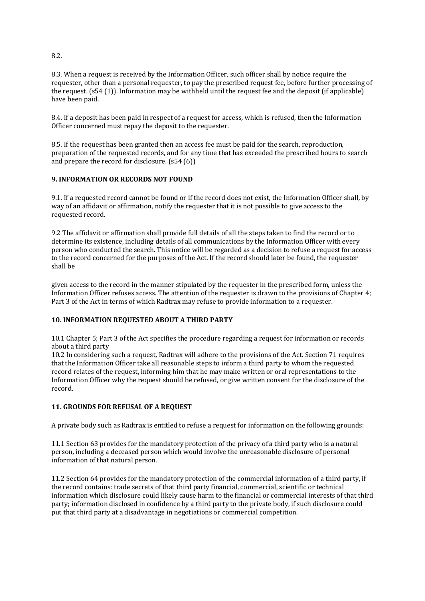8.3. When a request is received by the Information Officer, such officer shall by notice require the requester, other than a personal requester, to pay the prescribed request fee, before further processing of the request. (s54 (1)). Information may be withheld until the request fee and the deposit (if applicable) have been paid.

8.4. If a deposit has been paid in respect of a request for access, which is refused, then the Information Officer concerned must repay the deposit to the requester.

8.5. If the request has been granted then an access fee must be paid for the search, reproduction, preparation of the requested records, and for any time that has exceeded the prescribed hours to search and prepare the record for disclosure. (s54 (6))

# **9. INFORMATION OR RECORDS NOT FOUND**

9.1. If a requested record cannot be found or if the record does not exist, the Information Officer shall, by way of an affidavit or affirmation, notify the requester that it is not possible to give access to the requested record.

9.2 The affidavit or affirmation shall provide full details of all the steps taken to find the record or to determine its existence, including details of all communications by the Information Officer with every person who conducted the search. This notice will be regarded as a decision to refuse a request for access to the record concerned for the purposes of the Act. If the record should later be found, the requester shall be

given access to the record in the manner stipulated by the requester in the prescribed form, unless the Information Officer refuses access. The attention of the requester is drawn to the provisions of Chapter 4; Part 3 of the Act in terms of which Radtrax may refuse to provide information to a requester.

# **10. INFORMATION REQUESTED ABOUT A THIRD PARTY**

10.1 Chapter 5; Part 3 of the Act specifies the procedure regarding a request for information or records about a third party

10.2 In considering such a request, Radtrax will adhere to the provisions of the Act. Section 71 requires that the Information Officer take all reasonable steps to inform a third party to whom the requested record relates of the request, informing him that he may make written or oral representations to the Information Officer why the request should be refused, or give written consent for the disclosure of the record.

# **11. GROUNDS FOR REFUSAL OF A REQUEST**

A private body such as Radtrax is entitled to refuse a request for information on the following grounds:

11.1 Section 63 provides for the mandatory protection of the privacy of a third party who is a natural person, including a deceased person which would involve the unreasonable disclosure of personal information of that natural person.

11.2 Section 64 provides for the mandatory protection of the commercial information of a third party, if the record contains: trade secrets of that third party financial, commercial, scientific or technical information which disclosure could likely cause harm to the financial or commercial interests of that third party; information disclosed in confidence by a third party to the private body, if such disclosure could put that third party at a disadvantage in negotiations or commercial competition.

8.2.